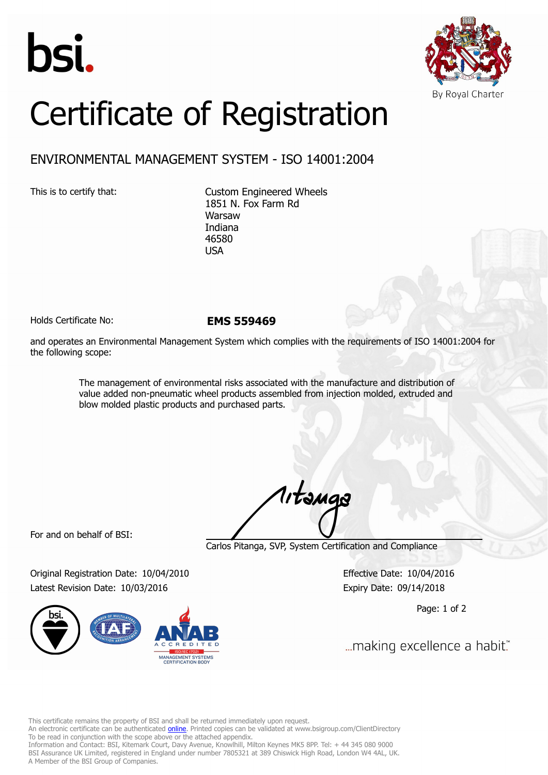



## Certificate of Registration

## ENVIRONMENTAL MANAGEMENT SYSTEM - ISO 14001:2004

This is to certify that: Custom Engineered Wheels 1851 N. Fox Farm Rd Warsaw Indiana 46580 USA

Holds Certificate No: **EMS 559469**

and operates an Environmental Management System which complies with the requirements of ISO 14001:2004 for the following scope:

> The management of environmental risks associated with the manufacture and distribution of value added non-pneumatic wheel products assembled from injection molded, extruded and blow molded plastic products and purchased parts.

For and on behalf of BSI:

Carlos Pitanga, SVP, System Certification and Compliance

1, tangs

Original Registration Date: 10/04/2010 Effective Date: 10/04/2016 Latest Revision Date: 10/03/2016 Expiry Date: 09/14/2018



Page: 1 of 2

... making excellence a habit."

This certificate remains the property of BSI and shall be returned immediately upon request.

An electronic certificate can be authenticated *[online](https://pgplus.bsigroup.com/CertificateValidation/CertificateValidator.aspx?CertificateNumber=EMS+559469&ReIssueDate=03%2f10%2f2016&Template=inc)*. Printed copies can be validated at www.bsigroup.com/ClientDirectory To be read in conjunction with the scope above or the attached appendix.

Information and Contact: BSI, Kitemark Court, Davy Avenue, Knowlhill, Milton Keynes MK5 8PP. Tel: + 44 345 080 9000 BSI Assurance UK Limited, registered in England under number 7805321 at 389 Chiswick High Road, London W4 4AL, UK. A Member of the BSI Group of Companies.